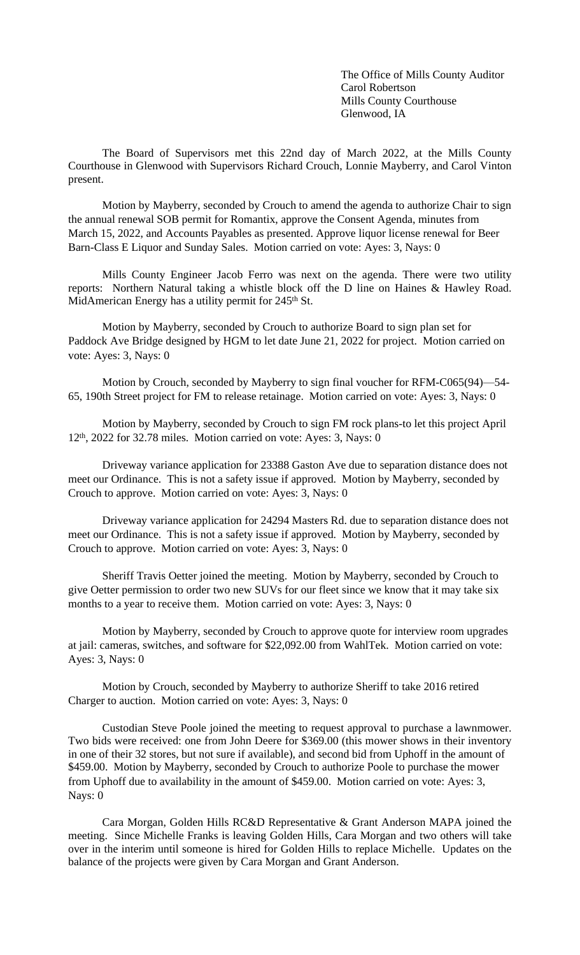The Office of Mills County Auditor Carol Robertson Mills County Courthouse Glenwood, IA

The Board of Supervisors met this 22nd day of March 2022, at the Mills County Courthouse in Glenwood with Supervisors Richard Crouch, Lonnie Mayberry, and Carol Vinton present.

Motion by Mayberry, seconded by Crouch to amend the agenda to authorize Chair to sign the annual renewal SOB permit for Romantix, approve the Consent Agenda, minutes from March 15, 2022, and Accounts Payables as presented. Approve liquor license renewal for Beer Barn-Class E Liquor and Sunday Sales. Motion carried on vote: Ayes: 3, Nays: 0

Mills County Engineer Jacob Ferro was next on the agenda. There were two utility reports: Northern Natural taking a whistle block off the D line on Haines & Hawley Road. MidAmerican Energy has a utility permit for 245<sup>th</sup> St.

Motion by Mayberry, seconded by Crouch to authorize Board to sign plan set for Paddock Ave Bridge designed by HGM to let date June 21, 2022 for project. Motion carried on vote: Ayes: 3, Nays: 0

Motion by Crouch, seconded by Mayberry to sign final voucher for RFM-C065(94)—54- 65, 190th Street project for FM to release retainage. Motion carried on vote: Ayes: 3, Nays: 0

Motion by Mayberry, seconded by Crouch to sign FM rock plans-to let this project April 12<sup>th</sup>, 2022 for 32.78 miles. Motion carried on vote: Ayes: 3, Nays: 0

Driveway variance application for 23388 Gaston Ave due to separation distance does not meet our Ordinance. This is not a safety issue if approved. Motion by Mayberry, seconded by Crouch to approve. Motion carried on vote: Ayes: 3, Nays: 0

Driveway variance application for 24294 Masters Rd. due to separation distance does not meet our Ordinance. This is not a safety issue if approved. Motion by Mayberry, seconded by Crouch to approve. Motion carried on vote: Ayes: 3, Nays: 0

Sheriff Travis Oetter joined the meeting. Motion by Mayberry, seconded by Crouch to give Oetter permission to order two new SUVs for our fleet since we know that it may take six months to a year to receive them. Motion carried on vote: Ayes: 3, Nays: 0

Motion by Mayberry, seconded by Crouch to approve quote for interview room upgrades at jail: cameras, switches, and software for \$22,092.00 from WahlTek. Motion carried on vote: Ayes: 3, Nays: 0

Motion by Crouch, seconded by Mayberry to authorize Sheriff to take 2016 retired Charger to auction. Motion carried on vote: Ayes: 3, Nays: 0

Custodian Steve Poole joined the meeting to request approval to purchase a lawnmower. Two bids were received: one from John Deere for \$369.00 (this mower shows in their inventory in one of their 32 stores, but not sure if available), and second bid from Uphoff in the amount of \$459.00. Motion by Mayberry, seconded by Crouch to authorize Poole to purchase the mower from Uphoff due to availability in the amount of \$459.00. Motion carried on vote: Ayes: 3, Nays: 0

Cara Morgan, Golden Hills RC&D Representative & Grant Anderson MAPA joined the meeting. Since Michelle Franks is leaving Golden Hills, Cara Morgan and two others will take over in the interim until someone is hired for Golden Hills to replace Michelle. Updates on the balance of the projects were given by Cara Morgan and Grant Anderson.